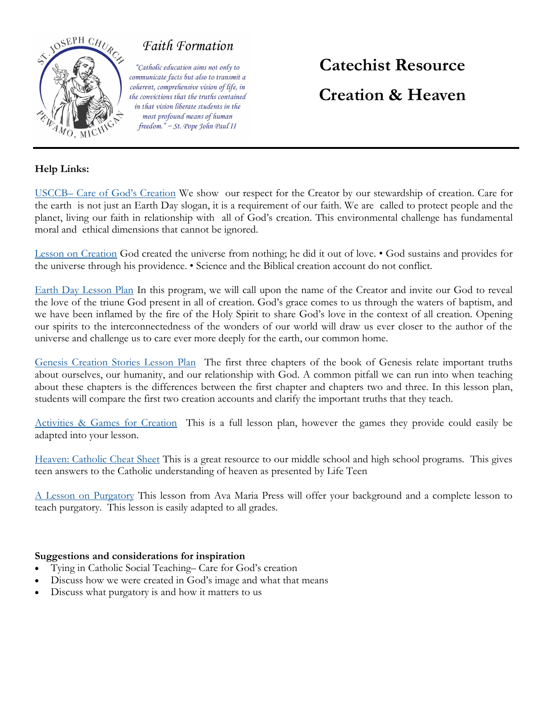

## Faith Formation

"Catholic education aims not only to communicate facts but also to transmit a coherent, comprehensive vision of life, in the convictions that the truths contained in that vision liberate students in the most profound means of human freedom." ~ St. Pope John Paul II

# **Catechist Resource Creation & Heaven**

### **Help Links:**

USCCB– [Care of God's Creation](https://www.usccb.org/beliefs-and-teachings/what-we-believe/catholic-social-teaching/care-for-creation) We show our respect for the Creator by our stewardship of creation. Care for the earth is not just an Earth Day slogan, it is a requirement of our faith. We are called to protect people and the planet, living our faith in relationship with all of God's creation. This environmental challenge has fundamental moral and ethical dimensions that cannot be ignored.

[Lesson on Creation](https://d2y1pz2y630308.cloudfront.net/21193/documents/2019/1/Lesson%206%20Creation.pdf) God created the universe from nothing; he did it out of love. • God sustains and provides for the universe through his providence. • Science and the Biblical creation account do not conflict.

[Earth Day Lesson Plan](https://catholicclimatecovenant.org/files/resource/attachment/EarthDay2017-KidsPreKthru8.pdf) In this program, we will call upon the name of the Creator and invite our God to reveal the love of the triune God present in all of creation. God's grace comes to us through the waters of baptism, and we have been inflamed by the fire of the Holy Spirit to share God's love in the context of all creation. Opening our spirits to the interconnectedness of the wonders of our world will draw us ever closer to the author of the universe and challenge us to care ever more deeply for the earth, our common home.

[Genesis Creation Stories Lesson Plan](https://www.thereligionteacher.com/genesis-creation-stories-lesson-plan/) The first three chapters of the book of Genesis relate important truths about ourselves, our humanity, and our relationship with God. A common pitfall we can run into when teaching about these chapters is the differences between the first chapter and chapters two and three. In this lesson plan, students will compare the first two creation accounts and clarify the important truths that they teach.

[Activities & Games for Creation](https://cdn2.hubspot.net/hubfs/275132/_catholicmom/Lesson%20Plans/creationlp.pdf) This is a full lesson plan, however the games they provide could easily be adapted into your lesson.

[Heaven: Catholic Cheat Sheet](https://lifeteen.com/blog/heaven-catholic-cheat-sheet/) This is a great resource to our middle school and high school programs. This gives teen answers to the Catholic understanding of heaven as presented by Life Teen

[A Lesson on Purgatory](https://www.avemariapress.com/engagingfaith/lesson-purgatory) This lesson from Ava Maria Press will offer your background and a complete lesson to teach purgatory. This lesson is easily adapted to all grades.

#### **Suggestions and considerations for inspiration**

- Tying in Catholic Social Teaching– Care for God's creation
- Discuss how we were created in God's image and what that means
- Discuss what purgatory is and how it matters to us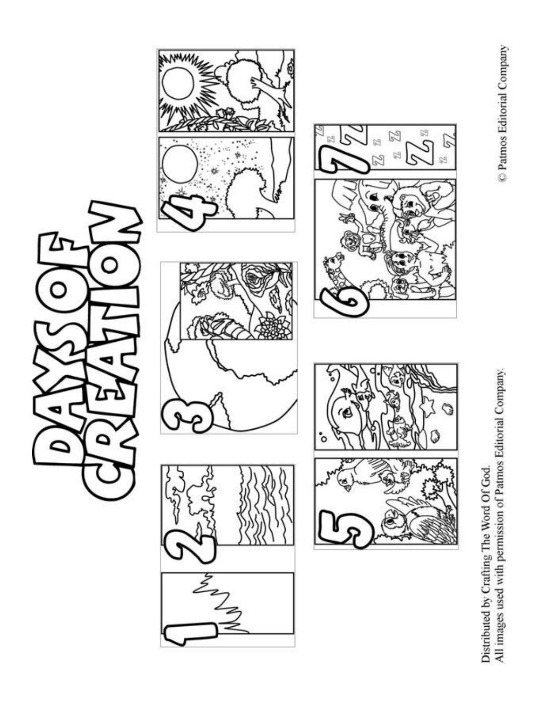

All images used with permission of Patmos Editorial Company. Distributed by Crafting The Word Of God.

C Patmos Editorial Company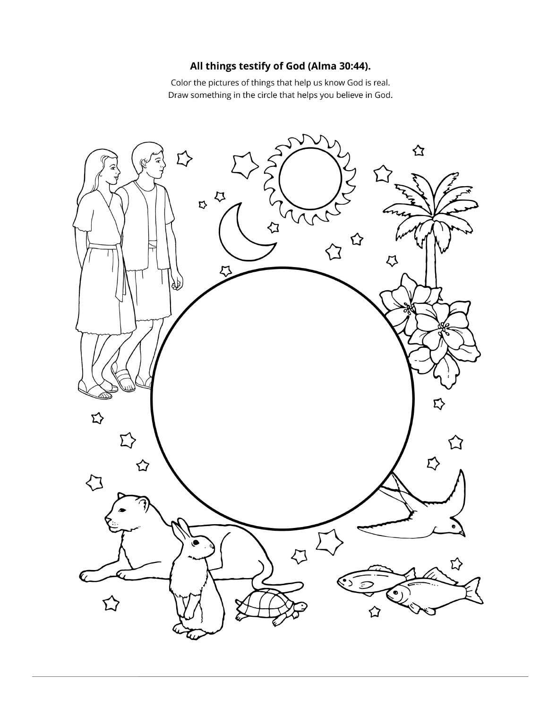### All things testify of God (Alma 30:44).

Color the pictures of things that help us know God is real. Draw something in the circle that helps you believe in God.